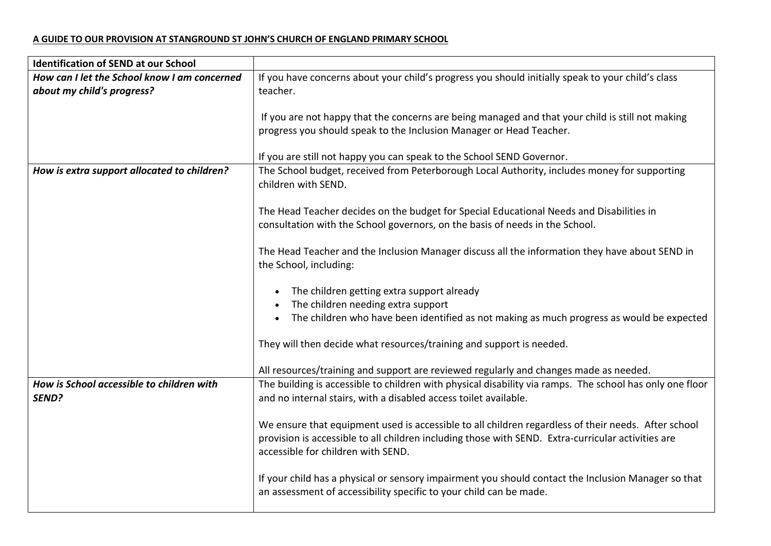## **A GUIDE TO OUR PROVISION AT STANGROUND ST JOHN'S CHURCH OF ENGLAND PRIMARY SCHOOL**

| <b>Identification of SEND at our School</b>  |                                                                                                                                                                           |
|----------------------------------------------|---------------------------------------------------------------------------------------------------------------------------------------------------------------------------|
| How can I let the School know I am concerned | If you have concerns about your child's progress you should initially speak to your child's class                                                                         |
| about my child's progress?                   | teacher.                                                                                                                                                                  |
|                                              |                                                                                                                                                                           |
|                                              | If you are not happy that the concerns are being managed and that your child is still not making                                                                          |
|                                              | progress you should speak to the Inclusion Manager or Head Teacher.                                                                                                       |
|                                              |                                                                                                                                                                           |
|                                              | If you are still not happy you can speak to the School SEND Governor.                                                                                                     |
| How is extra support allocated to children?  | The School budget, received from Peterborough Local Authority, includes money for supporting<br>children with SEND.                                                       |
|                                              |                                                                                                                                                                           |
|                                              | The Head Teacher decides on the budget for Special Educational Needs and Disabilities in<br>consultation with the School governors, on the basis of needs in the School.  |
|                                              |                                                                                                                                                                           |
|                                              | The Head Teacher and the Inclusion Manager discuss all the information they have about SEND in                                                                            |
|                                              | the School, including:                                                                                                                                                    |
|                                              |                                                                                                                                                                           |
|                                              | • The children getting extra support already                                                                                                                              |
|                                              | The children needing extra support                                                                                                                                        |
|                                              | • The children who have been identified as not making as much progress as would be expected                                                                               |
|                                              | They will then decide what resources/training and support is needed.                                                                                                      |
|                                              |                                                                                                                                                                           |
|                                              | All resources/training and support are reviewed regularly and changes made as needed.                                                                                     |
| How is School accessible to children with    | The building is accessible to children with physical disability via ramps. The school has only one floor                                                                  |
| SEND?                                        | and no internal stairs, with a disabled access toilet available.                                                                                                          |
|                                              |                                                                                                                                                                           |
|                                              | We ensure that equipment used is accessible to all children regardless of their needs. After school                                                                       |
|                                              | provision is accessible to all children including those with SEND. Extra-curricular activities are<br>accessible for children with SEND.                                  |
|                                              |                                                                                                                                                                           |
|                                              | If your child has a physical or sensory impairment you should contact the Inclusion Manager so that<br>an assessment of accessibility specific to your child can be made. |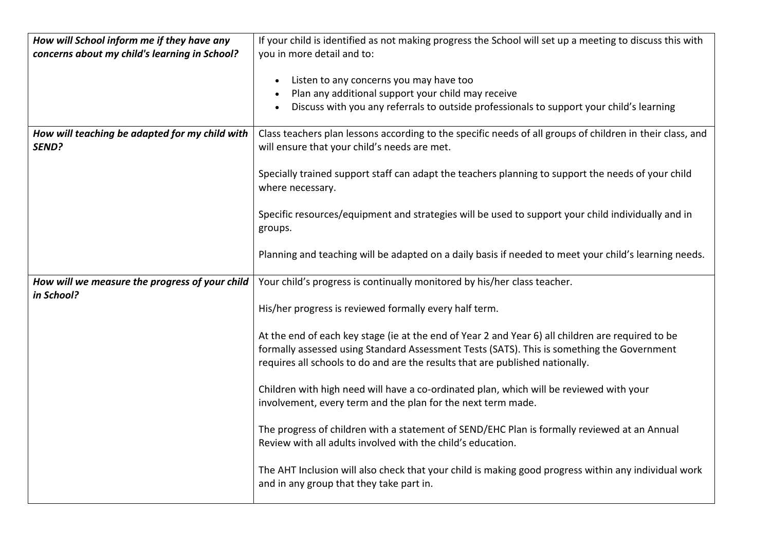| How will School inform me if they have any<br>concerns about my child's learning in School? | If your child is identified as not making progress the School will set up a meeting to discuss this with<br>you in more detail and to:                                                                                                                                           |
|---------------------------------------------------------------------------------------------|----------------------------------------------------------------------------------------------------------------------------------------------------------------------------------------------------------------------------------------------------------------------------------|
|                                                                                             | Listen to any concerns you may have too<br>Plan any additional support your child may receive<br>Discuss with you any referrals to outside professionals to support your child's learning                                                                                        |
| How will teaching be adapted for my child with<br>SEND?                                     | Class teachers plan lessons according to the specific needs of all groups of children in their class, and<br>will ensure that your child's needs are met.                                                                                                                        |
|                                                                                             | Specially trained support staff can adapt the teachers planning to support the needs of your child<br>where necessary.                                                                                                                                                           |
|                                                                                             | Specific resources/equipment and strategies will be used to support your child individually and in<br>groups.                                                                                                                                                                    |
|                                                                                             | Planning and teaching will be adapted on a daily basis if needed to meet your child's learning needs.                                                                                                                                                                            |
| How will we measure the progress of your child                                              | Your child's progress is continually monitored by his/her class teacher.                                                                                                                                                                                                         |
| in School?                                                                                  | His/her progress is reviewed formally every half term.                                                                                                                                                                                                                           |
|                                                                                             | At the end of each key stage (ie at the end of Year 2 and Year 6) all children are required to be<br>formally assessed using Standard Assessment Tests (SATS). This is something the Government<br>requires all schools to do and are the results that are published nationally. |
|                                                                                             | Children with high need will have a co-ordinated plan, which will be reviewed with your<br>involvement, every term and the plan for the next term made.                                                                                                                          |
|                                                                                             | The progress of children with a statement of SEND/EHC Plan is formally reviewed at an Annual<br>Review with all adults involved with the child's education.                                                                                                                      |
|                                                                                             | The AHT Inclusion will also check that your child is making good progress within any individual work<br>and in any group that they take part in.                                                                                                                                 |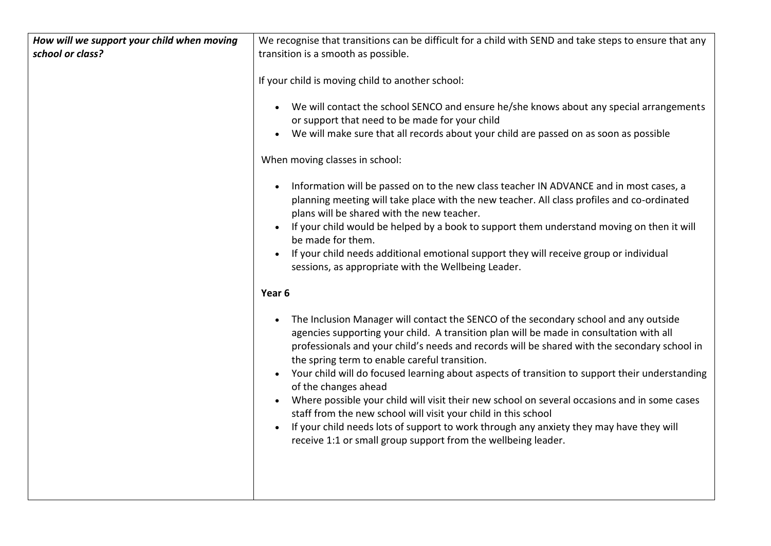| How will we support your child when moving | We recognise that transitions can be difficult for a child with SEND and take steps to ensure that any                                                                                                                                                                                                                                                                                                                                                                                                                                                                                                                                                                                                                                                                                                                          |
|--------------------------------------------|---------------------------------------------------------------------------------------------------------------------------------------------------------------------------------------------------------------------------------------------------------------------------------------------------------------------------------------------------------------------------------------------------------------------------------------------------------------------------------------------------------------------------------------------------------------------------------------------------------------------------------------------------------------------------------------------------------------------------------------------------------------------------------------------------------------------------------|
| school or class?                           | transition is a smooth as possible.                                                                                                                                                                                                                                                                                                                                                                                                                                                                                                                                                                                                                                                                                                                                                                                             |
|                                            |                                                                                                                                                                                                                                                                                                                                                                                                                                                                                                                                                                                                                                                                                                                                                                                                                                 |
|                                            | If your child is moving child to another school:                                                                                                                                                                                                                                                                                                                                                                                                                                                                                                                                                                                                                                                                                                                                                                                |
|                                            | We will contact the school SENCO and ensure he/she knows about any special arrangements<br>or support that need to be made for your child<br>We will make sure that all records about your child are passed on as soon as possible                                                                                                                                                                                                                                                                                                                                                                                                                                                                                                                                                                                              |
|                                            | When moving classes in school:                                                                                                                                                                                                                                                                                                                                                                                                                                                                                                                                                                                                                                                                                                                                                                                                  |
|                                            | Information will be passed on to the new class teacher IN ADVANCE and in most cases, a<br>planning meeting will take place with the new teacher. All class profiles and co-ordinated<br>plans will be shared with the new teacher.<br>If your child would be helped by a book to support them understand moving on then it will<br>be made for them.<br>If your child needs additional emotional support they will receive group or individual<br>sessions, as appropriate with the Wellbeing Leader.                                                                                                                                                                                                                                                                                                                           |
|                                            | Year 6                                                                                                                                                                                                                                                                                                                                                                                                                                                                                                                                                                                                                                                                                                                                                                                                                          |
|                                            | The Inclusion Manager will contact the SENCO of the secondary school and any outside<br>$\bullet$<br>agencies supporting your child. A transition plan will be made in consultation with all<br>professionals and your child's needs and records will be shared with the secondary school in<br>the spring term to enable careful transition.<br>Your child will do focused learning about aspects of transition to support their understanding<br>of the changes ahead<br>Where possible your child will visit their new school on several occasions and in some cases<br>$\bullet$<br>staff from the new school will visit your child in this school<br>If your child needs lots of support to work through any anxiety they may have they will<br>$\bullet$<br>receive 1:1 or small group support from the wellbeing leader. |
|                                            |                                                                                                                                                                                                                                                                                                                                                                                                                                                                                                                                                                                                                                                                                                                                                                                                                                 |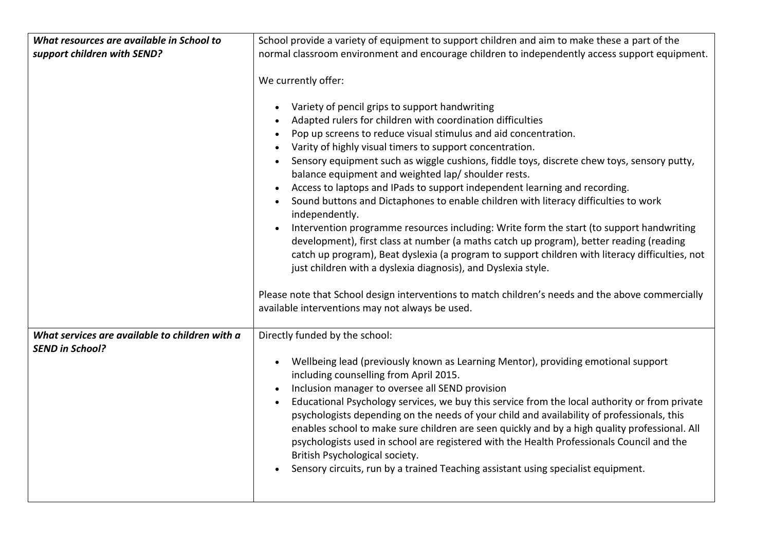| What resources are available in School to      | School provide a variety of equipment to support children and aim to make these a part of the                                                                                                                                                                                                                                                                                                                                                                                                                                                                                                                                                                                                                                                                                                                                                                                                                                                                                                                                                                                                                                     |
|------------------------------------------------|-----------------------------------------------------------------------------------------------------------------------------------------------------------------------------------------------------------------------------------------------------------------------------------------------------------------------------------------------------------------------------------------------------------------------------------------------------------------------------------------------------------------------------------------------------------------------------------------------------------------------------------------------------------------------------------------------------------------------------------------------------------------------------------------------------------------------------------------------------------------------------------------------------------------------------------------------------------------------------------------------------------------------------------------------------------------------------------------------------------------------------------|
| support children with SEND?                    | normal classroom environment and encourage children to independently access support equipment.                                                                                                                                                                                                                                                                                                                                                                                                                                                                                                                                                                                                                                                                                                                                                                                                                                                                                                                                                                                                                                    |
|                                                | We currently offer:<br>Variety of pencil grips to support handwriting<br>Adapted rulers for children with coordination difficulties<br>Pop up screens to reduce visual stimulus and aid concentration.<br>Varity of highly visual timers to support concentration.<br>Sensory equipment such as wiggle cushions, fiddle toys, discrete chew toys, sensory putty,<br>balance equipment and weighted lap/ shoulder rests.<br>Access to laptops and IPads to support independent learning and recording.<br>Sound buttons and Dictaphones to enable children with literacy difficulties to work<br>independently.<br>Intervention programme resources including: Write form the start (to support handwriting<br>development), first class at number (a maths catch up program), better reading (reading<br>catch up program), Beat dyslexia (a program to support children with literacy difficulties, not<br>just children with a dyslexia diagnosis), and Dyslexia style.<br>Please note that School design interventions to match children's needs and the above commercially<br>available interventions may not always be used. |
|                                                |                                                                                                                                                                                                                                                                                                                                                                                                                                                                                                                                                                                                                                                                                                                                                                                                                                                                                                                                                                                                                                                                                                                                   |
| What services are available to children with a | Directly funded by the school:                                                                                                                                                                                                                                                                                                                                                                                                                                                                                                                                                                                                                                                                                                                                                                                                                                                                                                                                                                                                                                                                                                    |
| <b>SEND in School?</b>                         |                                                                                                                                                                                                                                                                                                                                                                                                                                                                                                                                                                                                                                                                                                                                                                                                                                                                                                                                                                                                                                                                                                                                   |
|                                                | Wellbeing lead (previously known as Learning Mentor), providing emotional support<br>$\bullet$<br>including counselling from April 2015.<br>Inclusion manager to oversee all SEND provision<br>Educational Psychology services, we buy this service from the local authority or from private<br>psychologists depending on the needs of your child and availability of professionals, this<br>enables school to make sure children are seen quickly and by a high quality professional. All<br>psychologists used in school are registered with the Health Professionals Council and the<br>British Psychological society.<br>Sensory circuits, run by a trained Teaching assistant using specialist equipment.                                                                                                                                                                                                                                                                                                                                                                                                                   |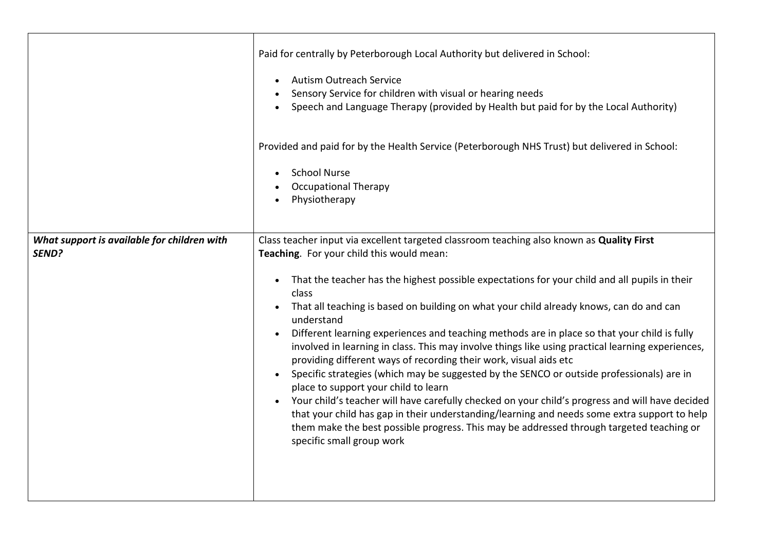|                                                      | Paid for centrally by Peterborough Local Authority but delivered in School:<br><b>Autism Outreach Service</b><br>Sensory Service for children with visual or hearing needs<br>Speech and Language Therapy (provided by Health but paid for by the Local Authority)<br>Provided and paid for by the Health Service (Peterborough NHS Trust) but delivered in School:<br><b>School Nurse</b><br>$\bullet$<br><b>Occupational Therapy</b><br>Physiotherapy                                                                                                                                                                                                                                                                                                                                                                                                                                                                                                                                                                                                                                                           |
|------------------------------------------------------|-------------------------------------------------------------------------------------------------------------------------------------------------------------------------------------------------------------------------------------------------------------------------------------------------------------------------------------------------------------------------------------------------------------------------------------------------------------------------------------------------------------------------------------------------------------------------------------------------------------------------------------------------------------------------------------------------------------------------------------------------------------------------------------------------------------------------------------------------------------------------------------------------------------------------------------------------------------------------------------------------------------------------------------------------------------------------------------------------------------------|
| What support is available for children with<br>SEND? | Class teacher input via excellent targeted classroom teaching also known as Quality First<br>Teaching. For your child this would mean:<br>That the teacher has the highest possible expectations for your child and all pupils in their<br>$\bullet$<br>class<br>That all teaching is based on building on what your child already knows, can do and can<br>understand<br>Different learning experiences and teaching methods are in place so that your child is fully<br>involved in learning in class. This may involve things like using practical learning experiences,<br>providing different ways of recording their work, visual aids etc<br>Specific strategies (which may be suggested by the SENCO or outside professionals) are in<br>place to support your child to learn<br>Your child's teacher will have carefully checked on your child's progress and will have decided<br>that your child has gap in their understanding/learning and needs some extra support to help<br>them make the best possible progress. This may be addressed through targeted teaching or<br>specific small group work |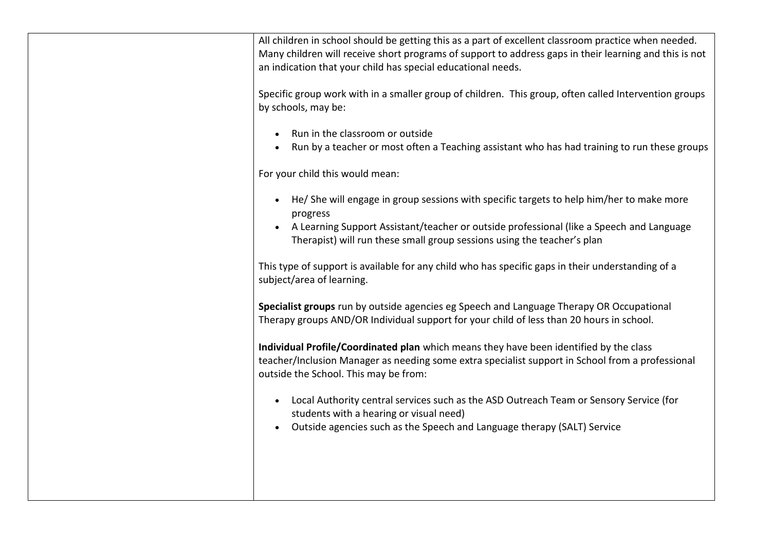| All children in school should be getting this as a part of excellent classroom practice when needed.<br>Many children will receive short programs of support to address gaps in their learning and this is not<br>an indication that your child has special educational needs. |
|--------------------------------------------------------------------------------------------------------------------------------------------------------------------------------------------------------------------------------------------------------------------------------|
| Specific group work with in a smaller group of children. This group, often called Intervention groups<br>by schools, may be:                                                                                                                                                   |
| Run in the classroom or outside<br>Run by a teacher or most often a Teaching assistant who has had training to run these groups                                                                                                                                                |
| For your child this would mean:                                                                                                                                                                                                                                                |
| He/ She will engage in group sessions with specific targets to help him/her to make more<br>progress                                                                                                                                                                           |
| A Learning Support Assistant/teacher or outside professional (like a Speech and Language<br>$\bullet$<br>Therapist) will run these small group sessions using the teacher's plan                                                                                               |
| This type of support is available for any child who has specific gaps in their understanding of a<br>subject/area of learning.                                                                                                                                                 |
| Specialist groups run by outside agencies eg Speech and Language Therapy OR Occupational<br>Therapy groups AND/OR Individual support for your child of less than 20 hours in school.                                                                                           |
| Individual Profile/Coordinated plan which means they have been identified by the class<br>teacher/Inclusion Manager as needing some extra specialist support in School from a professional<br>outside the School. This may be from:                                            |
| Local Authority central services such as the ASD Outreach Team or Sensory Service (for<br>$\bullet$<br>students with a hearing or visual need)                                                                                                                                 |
| Outside agencies such as the Speech and Language therapy (SALT) Service                                                                                                                                                                                                        |
|                                                                                                                                                                                                                                                                                |
|                                                                                                                                                                                                                                                                                |
|                                                                                                                                                                                                                                                                                |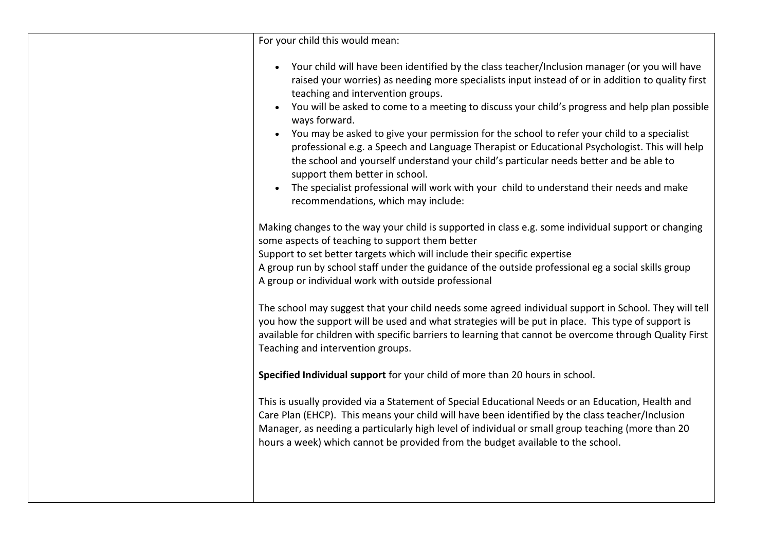| For your child this would mean:                                                                                                                                                                                                                                                                                                                                                                                                                                                                                                                                                                                                                                                                                                                                                                                                        |
|----------------------------------------------------------------------------------------------------------------------------------------------------------------------------------------------------------------------------------------------------------------------------------------------------------------------------------------------------------------------------------------------------------------------------------------------------------------------------------------------------------------------------------------------------------------------------------------------------------------------------------------------------------------------------------------------------------------------------------------------------------------------------------------------------------------------------------------|
| Your child will have been identified by the class teacher/Inclusion manager (or you will have<br>raised your worries) as needing more specialists input instead of or in addition to quality first<br>teaching and intervention groups.<br>You will be asked to come to a meeting to discuss your child's progress and help plan possible<br>ways forward.<br>You may be asked to give your permission for the school to refer your child to a specialist<br>professional e.g. a Speech and Language Therapist or Educational Psychologist. This will help<br>the school and yourself understand your child's particular needs better and be able to<br>support them better in school.<br>The specialist professional will work with your child to understand their needs and make<br>$\bullet$<br>recommendations, which may include: |
| Making changes to the way your child is supported in class e.g. some individual support or changing<br>some aspects of teaching to support them better<br>Support to set better targets which will include their specific expertise<br>A group run by school staff under the guidance of the outside professional eg a social skills group<br>A group or individual work with outside professional                                                                                                                                                                                                                                                                                                                                                                                                                                     |
| The school may suggest that your child needs some agreed individual support in School. They will tell<br>you how the support will be used and what strategies will be put in place. This type of support is<br>available for children with specific barriers to learning that cannot be overcome through Quality First<br>Teaching and intervention groups.                                                                                                                                                                                                                                                                                                                                                                                                                                                                            |
| Specified Individual support for your child of more than 20 hours in school.                                                                                                                                                                                                                                                                                                                                                                                                                                                                                                                                                                                                                                                                                                                                                           |
| This is usually provided via a Statement of Special Educational Needs or an Education, Health and<br>Care Plan (EHCP). This means your child will have been identified by the class teacher/Inclusion<br>Manager, as needing a particularly high level of individual or small group teaching (more than 20<br>hours a week) which cannot be provided from the budget available to the school.                                                                                                                                                                                                                                                                                                                                                                                                                                          |
|                                                                                                                                                                                                                                                                                                                                                                                                                                                                                                                                                                                                                                                                                                                                                                                                                                        |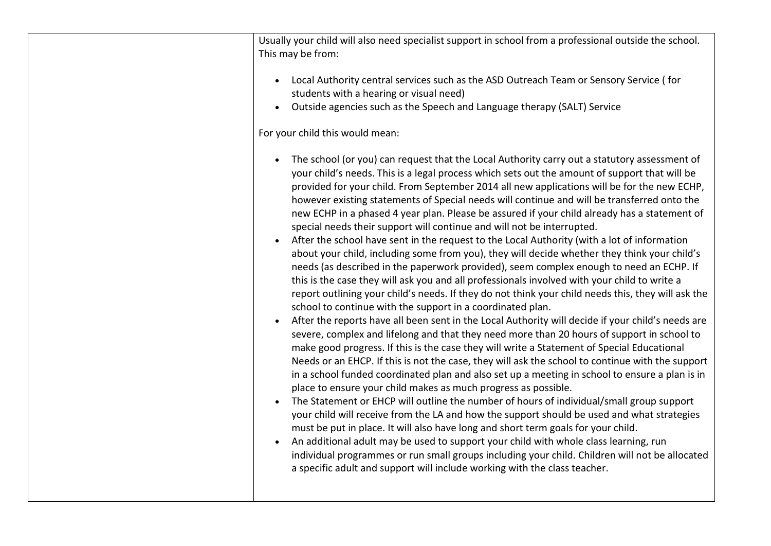| Usually your child will also need specialist support in school from a professional outside the school.<br>This may be from:<br>Local Authority central services such as the ASD Outreach Team or Sensory Service (for                                                                                                                                                                                                                                                                                                                                                                                                                                                                                                                                                                                                                                                                                                                                                                                                                                                                                                                                                                                                                                                                                                                                                                                                                                                                                                                                                                                                                                                                                                                                                                                                                                                                                                                                                                                                                                                                            |
|--------------------------------------------------------------------------------------------------------------------------------------------------------------------------------------------------------------------------------------------------------------------------------------------------------------------------------------------------------------------------------------------------------------------------------------------------------------------------------------------------------------------------------------------------------------------------------------------------------------------------------------------------------------------------------------------------------------------------------------------------------------------------------------------------------------------------------------------------------------------------------------------------------------------------------------------------------------------------------------------------------------------------------------------------------------------------------------------------------------------------------------------------------------------------------------------------------------------------------------------------------------------------------------------------------------------------------------------------------------------------------------------------------------------------------------------------------------------------------------------------------------------------------------------------------------------------------------------------------------------------------------------------------------------------------------------------------------------------------------------------------------------------------------------------------------------------------------------------------------------------------------------------------------------------------------------------------------------------------------------------------------------------------------------------------------------------------------------------|
| students with a hearing or visual need)<br>Outside agencies such as the Speech and Language therapy (SALT) Service<br>$\bullet$                                                                                                                                                                                                                                                                                                                                                                                                                                                                                                                                                                                                                                                                                                                                                                                                                                                                                                                                                                                                                                                                                                                                                                                                                                                                                                                                                                                                                                                                                                                                                                                                                                                                                                                                                                                                                                                                                                                                                                  |
| For your child this would mean:                                                                                                                                                                                                                                                                                                                                                                                                                                                                                                                                                                                                                                                                                                                                                                                                                                                                                                                                                                                                                                                                                                                                                                                                                                                                                                                                                                                                                                                                                                                                                                                                                                                                                                                                                                                                                                                                                                                                                                                                                                                                  |
| The school (or you) can request that the Local Authority carry out a statutory assessment of<br>$\bullet$<br>your child's needs. This is a legal process which sets out the amount of support that will be<br>provided for your child. From September 2014 all new applications will be for the new ECHP,<br>however existing statements of Special needs will continue and will be transferred onto the<br>new ECHP in a phased 4 year plan. Please be assured if your child already has a statement of<br>special needs their support will continue and will not be interrupted.<br>After the school have sent in the request to the Local Authority (with a lot of information<br>about your child, including some from you), they will decide whether they think your child's<br>needs (as described in the paperwork provided), seem complex enough to need an ECHP. If<br>this is the case they will ask you and all professionals involved with your child to write a<br>report outlining your child's needs. If they do not think your child needs this, they will ask the<br>school to continue with the support in a coordinated plan.<br>After the reports have all been sent in the Local Authority will decide if your child's needs are<br>severe, complex and lifelong and that they need more than 20 hours of support in school to<br>make good progress. If this is the case they will write a Statement of Special Educational<br>Needs or an EHCP. If this is not the case, they will ask the school to continue with the support<br>in a school funded coordinated plan and also set up a meeting in school to ensure a plan is in<br>place to ensure your child makes as much progress as possible.<br>The Statement or EHCP will outline the number of hours of individual/small group support<br>your child will receive from the LA and how the support should be used and what strategies<br>must be put in place. It will also have long and short term goals for your child.<br>An additional adult may be used to support your child with whole class learning, run |
| individual programmes or run small groups including your child. Children will not be allocated<br>a specific adult and support will include working with the class teacher.                                                                                                                                                                                                                                                                                                                                                                                                                                                                                                                                                                                                                                                                                                                                                                                                                                                                                                                                                                                                                                                                                                                                                                                                                                                                                                                                                                                                                                                                                                                                                                                                                                                                                                                                                                                                                                                                                                                      |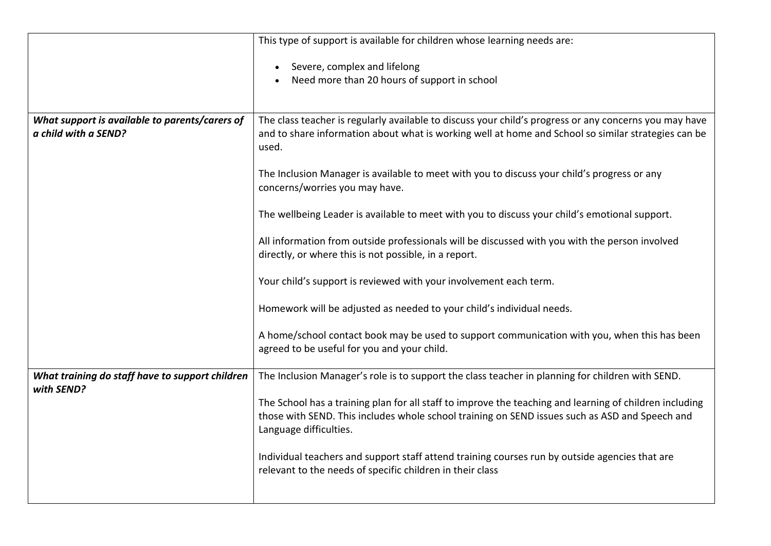|                                                                        | This type of support is available for children whose learning needs are:                                                                                                                                                            |
|------------------------------------------------------------------------|-------------------------------------------------------------------------------------------------------------------------------------------------------------------------------------------------------------------------------------|
|                                                                        | Severe, complex and lifelong                                                                                                                                                                                                        |
|                                                                        | Need more than 20 hours of support in school                                                                                                                                                                                        |
|                                                                        |                                                                                                                                                                                                                                     |
| What support is available to parents/carers of<br>a child with a SEND? | The class teacher is regularly available to discuss your child's progress or any concerns you may have<br>and to share information about what is working well at home and School so similar strategies can be<br>used.              |
|                                                                        | The Inclusion Manager is available to meet with you to discuss your child's progress or any<br>concerns/worries you may have.                                                                                                       |
|                                                                        | The wellbeing Leader is available to meet with you to discuss your child's emotional support.                                                                                                                                       |
|                                                                        | All information from outside professionals will be discussed with you with the person involved<br>directly, or where this is not possible, in a report.                                                                             |
|                                                                        | Your child's support is reviewed with your involvement each term.                                                                                                                                                                   |
|                                                                        | Homework will be adjusted as needed to your child's individual needs.                                                                                                                                                               |
|                                                                        | A home/school contact book may be used to support communication with you, when this has been<br>agreed to be useful for you and your child.                                                                                         |
| What training do staff have to support children<br>with SEND?          | The Inclusion Manager's role is to support the class teacher in planning for children with SEND.                                                                                                                                    |
|                                                                        | The School has a training plan for all staff to improve the teaching and learning of children including<br>those with SEND. This includes whole school training on SEND issues such as ASD and Speech and<br>Language difficulties. |
|                                                                        | Individual teachers and support staff attend training courses run by outside agencies that are<br>relevant to the needs of specific children in their class                                                                         |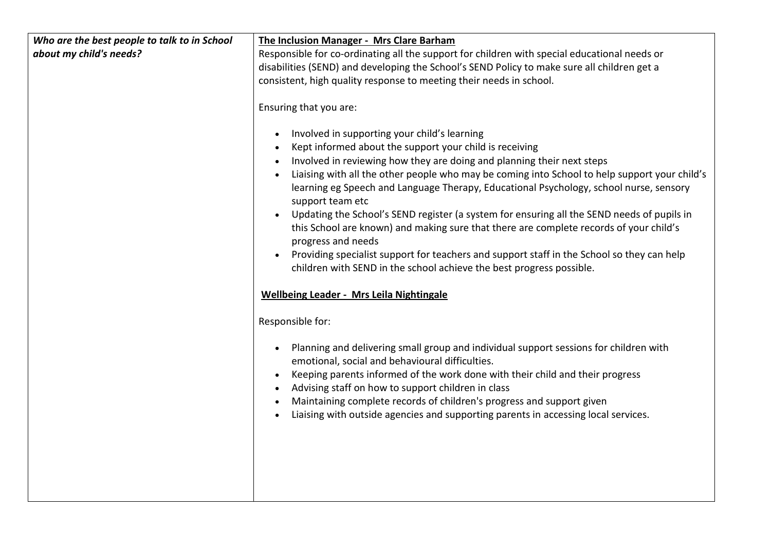| Who are the best people to talk to in School | The Inclusion Manager - Mrs Clare Barham                                                                                                                                                |
|----------------------------------------------|-----------------------------------------------------------------------------------------------------------------------------------------------------------------------------------------|
| about my child's needs?                      | Responsible for co-ordinating all the support for children with special educational needs or                                                                                            |
|                                              | disabilities (SEND) and developing the School's SEND Policy to make sure all children get a                                                                                             |
|                                              | consistent, high quality response to meeting their needs in school.                                                                                                                     |
|                                              |                                                                                                                                                                                         |
|                                              | Ensuring that you are:                                                                                                                                                                  |
|                                              | Involved in supporting your child's learning                                                                                                                                            |
|                                              | Kept informed about the support your child is receiving                                                                                                                                 |
|                                              | Involved in reviewing how they are doing and planning their next steps                                                                                                                  |
|                                              | Liaising with all the other people who may be coming into School to help support your child's<br>learning eg Speech and Language Therapy, Educational Psychology, school nurse, sensory |
|                                              | support team etc                                                                                                                                                                        |
|                                              | Updating the School's SEND register (a system for ensuring all the SEND needs of pupils in                                                                                              |
|                                              | this School are known) and making sure that there are complete records of your child's                                                                                                  |
|                                              | progress and needs                                                                                                                                                                      |
|                                              | Providing specialist support for teachers and support staff in the School so they can help<br>$\bullet$<br>children with SEND in the school achieve the best progress possible.         |
|                                              | <b>Wellbeing Leader - Mrs Leila Nightingale</b>                                                                                                                                         |
|                                              | Responsible for:                                                                                                                                                                        |
|                                              | Planning and delivering small group and individual support sessions for children with<br>emotional, social and behavioural difficulties.                                                |
|                                              | Keeping parents informed of the work done with their child and their progress                                                                                                           |
|                                              | Advising staff on how to support children in class                                                                                                                                      |
|                                              | Maintaining complete records of children's progress and support given                                                                                                                   |
|                                              | Liaising with outside agencies and supporting parents in accessing local services.                                                                                                      |
|                                              |                                                                                                                                                                                         |
|                                              |                                                                                                                                                                                         |
|                                              |                                                                                                                                                                                         |
|                                              |                                                                                                                                                                                         |
|                                              |                                                                                                                                                                                         |
|                                              |                                                                                                                                                                                         |